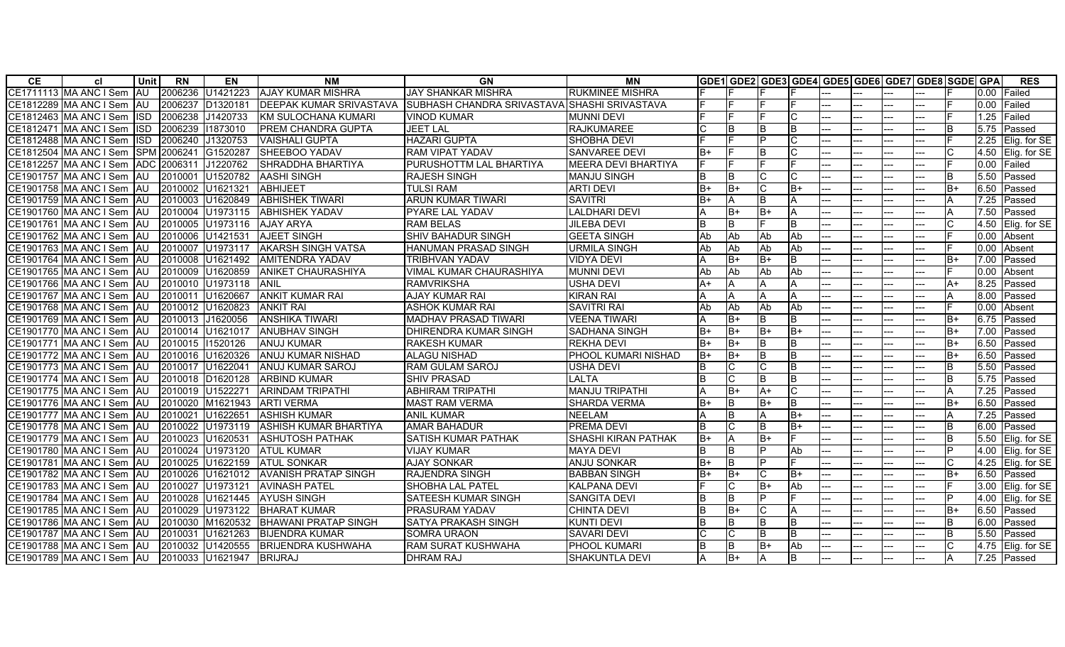| CE. | <b>cl</b>                   | Unit l      | <b>RN</b>        | EN               | <b>NM</b>                      | GN                                           | ΜN                         |           |            |            |      |       |     |     |     | GDE1  GDE2  GDE3  GDE4  GDE5  GDE6  GDE7  GDE8  SGDE  GPA |      | <b>RES</b>     |
|-----|-----------------------------|-------------|------------------|------------------|--------------------------------|----------------------------------------------|----------------------------|-----------|------------|------------|------|-------|-----|-----|-----|-----------------------------------------------------------|------|----------------|
|     | CE1711113 MA ANC I Sem      | <b>AU</b>   |                  | 2006236 U1421223 | <b>AJAY KUMAR MISHRA</b>       | <b>JAY SHANKAR MISHRA</b>                    | <b>RUKMINEE MISHRA</b>     |           |            |            |      |       |     |     |     |                                                           | 0.00 | <b>IFailed</b> |
|     | CE1812289 MA ANC I Sem      | IAU         | 2006237          | D1320181         | <b>DEEPAK KUMAR SRIVASTAVA</b> | SUBHASH CHANDRA SRIVASTAVA SHASHI SRIVASTAVA |                            |           |            |            |      |       |     | --- |     |                                                           | 0.00 | <b>Failed</b>  |
|     | CE1812463 MA ANC I Sem      | lisd.       | 2006238 J1420733 |                  | <b>KM SULOCHANA KUMARI</b>     | <b>VINOD KUMAR</b>                           | <b>MUNNI DEVI</b>          |           |            |            |      |       |     |     |     |                                                           | 1.25 | Failed         |
|     | CE1812471 IMA ANC I Sem     | <b>IISD</b> | 2006239          | 11873010         | PREM CHANDRA GUPTA             | <b>JEET LAL</b>                              | <b>RAJKUMAREE</b>          |           | Iв         | lв         | lB.  | $---$ | --- | --- |     | IB.                                                       | 5.75 | Passed         |
|     | CE1812488 IMA ANC I Sem     | <b>ISD</b>  | 2006240 J1320753 |                  | <b>VAISHALI GUPTA</b>          | <b>HAZARI GUPTA</b>                          | <b>SHOBHA DEVI</b>         |           |            | IÞ         |      |       |     | --- |     |                                                           | 2.25 | Elig. for SE   |
|     | CE1812504 MA ANC I Sem      |             | SPM 2006241      | G1520287         | SHEEBOO YADAV                  | <b>RAM VIPAT YADAV</b>                       | <b>SANVAREE DEVI</b>       | lB+       |            | lв         |      |       |     |     |     |                                                           | 4.50 | Elig. for SE   |
|     | CE1812257 MA ANC I Sem      |             | ADC 2006311      | J1220762         | SHRADDHA BHARTIYA              | PURUSHOTTM LAL BHARTIYA                      | <b>MEERA DEVI BHARTIYA</b> | IF        |            |            |      |       |     | --- |     |                                                           | 0.00 | Failed         |
|     | CE1901757 MA ANC I Sem      | IAU         | 2010001          | U1520782         | <b>AASHI SINGH</b>             | <b>RAJESH SINGH</b>                          | <b>MANJU SINGH</b>         | lB.       | lв         | IС         |      | ---   |     | --- |     | B                                                         | 5.50 | Passed         |
|     | CE1901758 MA ANC I Sem AU   |             | 2010002 U1621321 |                  | <b>ABHIJEET</b>                | <b>TULSI RAM</b>                             | <b>ARTI DEVI</b>           | lB+       | lB+        | IC.        | IB+  |       |     |     |     | B+                                                        | 6.50 | Passed         |
|     | CE1901759 MA ANC I Sem IAU  |             |                  | 2010003 U1620849 | <b>ABHISHEK TIWARI</b>         | ARUN KUMAR TIWARI                            | <b>SAVITRI</b>             | lB+       | ΙA         | lв         | А    |       |     | --- |     |                                                           | 7.25 | Passed         |
|     | CE1901760 MA ANC I Sem AU   |             |                  | 2010004 U1973115 | <b>ABHISHEK YADAV</b>          | PYARE LAL YADAV                              | <b>LALDHARI DEVI</b>       |           | lB+        | IB+        |      | ---   |     |     |     | A                                                         | 7.50 | Passed         |
|     | CE1901761 MA ANC I Sem AU   |             |                  | 2010005 U1973116 | <b>AJAY ARYA</b>               | <b>RAM BELAS</b>                             | <b>JILEBA DEVI</b>         | lΒ        | lв         |            | lB.  |       |     |     |     |                                                           | 4.50 | Elig. for SE   |
|     | CE1901762 MA ANC I Sem AU   |             |                  | 2010006 U1421531 | <b>AJEET SINGH</b>             | <b>SHIV BAHADUR SINGH</b>                    | <b>GEETA SINGH</b>         | Ab        | Ab         | Ab         | Ab   |       |     |     |     |                                                           | 0.00 | Absent         |
|     | CE1901763 MA ANC I Sem AU   |             |                  | 2010007 U1973117 | <b>JAKARSH SINGH VATSA</b>     | <b>HANUMAN PRASAD SINGH</b>                  | URMILA SINGH               | l Ab      | l Ab       | l Ab       | Ab   | ---   |     | --- |     |                                                           | 0.00 | Absent         |
|     | CE1901764 MA ANC I Sem JAU  |             |                  | 2010008 U1621492 | <b>AMITENDRA YADAV</b>         | <b>TRIBHVAN YADAV</b>                        | <b>VIDYA DEVI</b>          |           | lB+        | lB+        | IB.  |       |     |     |     | B+                                                        | 7.00 | Passed         |
|     | CE1901765 MA ANC I Sem AU   |             |                  | 2010009 U1620859 | <b>JANIKET CHAURASHIYA</b>     | <b>VIMAL KUMAR CHAURASHIYA</b>               | <b>MUNNI DEVI</b>          | <b>Ab</b> | <b>Ab</b>  | <b>Ab</b>  | Ab   |       |     |     |     |                                                           | 0.00 | Absent         |
|     | CE1901766 MA ANC I Sem      | <b>JAU</b>  |                  | 2010010 U1973118 | <b>ANIL</b>                    | <b>RAMVRIKSHA</b>                            | <b>USHA DEVI</b>           | $A+$      |            |            |      | ---   |     | --- |     | A+                                                        | 8.25 | Passed         |
|     | CE1901767 MA ANC I Sem   AU |             | 2010011          | U1620667         | <b>ANKIT KUMAR RAI</b>         | <b>AJAY KUMAR RAI</b>                        | <b>KIRAN RAI</b>           | l۵        |            | l۵         |      |       |     |     |     |                                                           | 00.8 | Passed         |
|     | CE1901768 MA ANC I Sem      | IAU         |                  | 2010012 U1620823 | <b>ANKIT RAI</b>               | <b>ASHOK KUMAR RAI</b>                       | <b>SAVITRI RAI</b>         | Ab        | <b>Ab</b>  | <b>JAb</b> | Ab   |       |     |     |     |                                                           | 0.00 | Absent         |
|     | CE1901769 MA ANC I Sem AU   |             | 2010013 J1620056 |                  | <b>ANSHIKA TIWARI</b>          | <b>MADHAV PRASAD TIWARI</b>                  | <b>VEENA TIWARI</b>        |           | lB+        | lв         |      |       |     | --- |     | B+                                                        | 6.75 | Passed         |
|     | CE1901770 MA ANC I Sem IAU  |             |                  | 2010014 U1621017 | <b>ANUBHAV SINGH</b>           | DHIRENDRA KUMAR SINGH                        | <b>SADHANA SINGH</b>       | lB+       | lB+        | IB+        | $B+$ |       |     |     |     | B+                                                        | 7.00 | Passed         |
|     | CE1901771 MA ANC I Sem AU   |             | 2010015 11520126 |                  | <b>ANUJ KUMAR</b>              | <b>RAKESH KUMAR</b>                          | <b>REKHA DEVI</b>          | B+        | lB+        | lв         | B.   |       |     |     |     | $B+$                                                      | 6.50 | Passed         |
|     | CE1901772 MA ANC I Sem AU   |             |                  | 2010016 U1620326 | <b>ANUJ KUMAR NISHAD</b>       | <b>ALAGU NISHAD</b>                          | PHOOL KUMARI NISHAD        | B+        | $B+$       | ĪВ         | ΙB   |       |     | --- |     | B+                                                        | 6.50 | Passed         |
|     | CE1901773 MA ANC I Sem AU   |             | 2010017 U1622041 |                  | <b>ANUJ KUMAR SAROJ</b>        | <b>RAM GULAM SAROJ</b>                       | <b>USHA DEVI</b>           | lB.       | IC.        |            | IB.  |       |     |     |     | B.                                                        | 5.50 | Passed         |
|     | CE1901774 MA ANC I Sem AU   |             |                  | 2010018 D1620128 | <b>ARBIND KUMAR</b>            | <b>SHIV PRASAD</b>                           | LALTA                      | lΒ        | lC.        | lв         |      | ---   |     | --- |     | R                                                         | 5.75 | Passed         |
|     | CE1901775 MA ANC I Sem AU   |             | 2010019 U1522271 |                  | <b>ARINDAM TRIPATHI</b>        | ABHIRAM TRIPATHI                             | <b>MANJU TRIPATHI</b>      | ΙA        | B+         | IA+        |      |       |     |     |     | А                                                         | 7.25 | Passed         |
|     | CE1901776 MA ANC I Sem AU   |             |                  | 2010020 M1621943 | <b>ARTI VERMA</b>              | <b>MAST RAM VERMA</b>                        | <b>SHARDA VERMA</b>        | lB+       | <b>I</b> B | IB+        | IB.  |       |     | --- |     | B+                                                        | 6.50 | Passed         |
|     | CE1901777 MA ANC I Sem AU   |             | 2010021          | U1622651         | <b>ASHISH KUMAR</b>            | <b>ANIL KUMAR</b>                            | <b>NEELAM</b>              |           | lв         |            | B+   |       |     |     |     |                                                           | 7.25 | Passed         |
|     | CE1901778 MA ANC I Sem AU   |             |                  | 2010022 U1973119 | <b>ASHISH KUMAR BHARTIYA</b>   | <b>AMAR BAHADUR</b>                          | <b>PREMA DEVI</b>          | lв        |            | lв         | $B+$ |       |     | --- |     | B                                                         | 6.00 | Passed         |
|     | CE1901779 MA ANC I Sem AU   |             | 2010023          | U1620531         | <b>ASHUTOSH PATHAK</b>         | <b>SATISH KUMAR PATHAK</b>                   | <b>SHASHI KIRAN PATHAK</b> | lB+       | IΑ         | lB+        |      |       |     |     |     | B.                                                        | 5.50 | Elig. for SE   |
|     | CE1901780 MA ANC I Sem      | IAU         | 2010024          | U1973120         | <b>ATUL KUMAR</b>              | <b>VIJAY KUMAR</b>                           | <b>MAYA DEVI</b>           | lΒ        | Iв         | D          | Ab   |       |     |     |     |                                                           | 4.00 | Elia, for SE   |
|     | CE1901781 MA ANC I Sem AU   |             |                  | 2010025 U1622159 | <b>ATUL SONKAR</b>             | <b>AJAY SONKAR</b>                           | <b>ANJU SONKAR</b>         | lB+       | B          | IP         |      |       |     | --- |     | C.                                                        | 4.25 | Elig. for SE   |
|     | CE1901782 MA ANC I Sem AU   |             |                  | 2010026 U1621012 | <b>AVANISH PRATAP SINGH</b>    | <b>RAJENDRA SINGH</b>                        | <b>BABBAN SINGH</b>        | B+        | B+         | IC.        | B+   |       |     |     |     | $B+$                                                      | 6.50 | Passed         |
|     | CE1901783 MA ANC I Sem AU   |             | 2010027 U1973121 |                  | <b>AVINASH PATEL</b>           | <b>SHOBHA LAL PATEL</b>                      | <b>KALPANA DEVI</b>        |           | lC.        | lB+        | Ab   | ---   |     | --- |     |                                                           | 3.00 | Elig. for SE   |
|     | CE1901784 MA ANC I Sem AU   |             |                  | 2010028 U1621445 | <b>AYUSH SINGH</b>             | <b>SATEESH KUMAR SINGH</b>                   | <b>SANGITA DEVI</b>        | ΙB        | lв         | IP         |      |       |     |     |     | D                                                         | 4.00 | Elig. for SE   |
|     | CE1901785 MA ANC I Sem   AU |             |                  | 2010029 U1973122 | <b>BHARAT KUMAR</b>            | <b>PRASURAM YADAV</b>                        | <b>CHINTA DEVI</b>         | lΒ        | lB+        | lC.        | A    | ---   |     | --- |     | $B+$                                                      | 6.50 | Passed         |
|     | CE1901786 MA ANC I Sem AU   |             | 2010030          | M1620532         | <b>BHAWANI PRATAP SINGH</b>    | <b>SATYA PRAKASH SINGH</b>                   | <b>KUNTI DEVI</b>          | lΒ        | lв         | lв         | B    |       |     |     |     | <sub>B</sub>                                              | 6.00 | Passed         |
|     | CE1901787 MA ANC I Sem AU   |             | 2010031          | U1621263         | <b>BIJENDRA KUMAR</b>          | <b>SOMRA URAON</b>                           | <b>SAVARI DEVI</b>         |           | IС         | ĪВ         | IB.  |       |     |     |     | B                                                         | 5.50 | Passed         |
|     | CE1901788 MA ANC I Sem AU   |             |                  | 2010032 U1420555 | <b>BRIJENDRA KUSHWAHA</b>      | RAM SURAT KUSHWAHA                           | <b>PHOOL KUMARI</b>        | ΙB        | <b>B</b>   | $B+$       | Ab   | $---$ |     |     |     |                                                           | 4.75 | Elig. for SE   |
|     | CE1901789 MA ANC I Sem AU   |             |                  | 2010033 U1621947 | <b>BRIJRAJ</b>                 | <b>DHRAM RAJ</b>                             | SHAKUNTLA DEVI             | ΙA        | $B+$       | IΑ         | lB.  | ---   | --- | --- | --- |                                                           |      | 7.25 Passed    |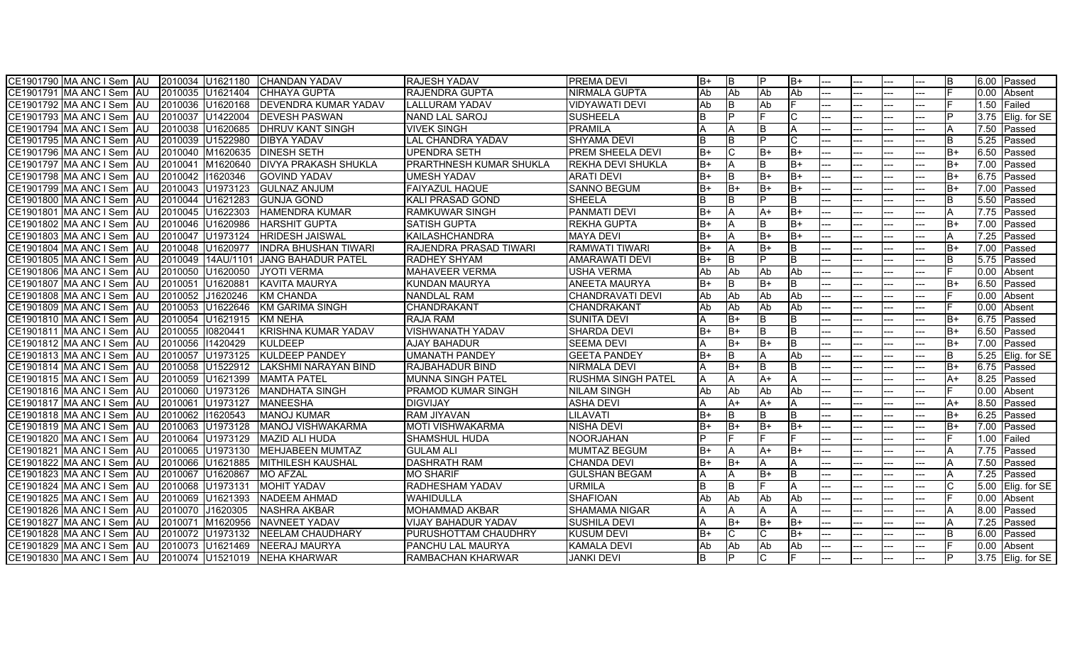| CE1901790 MA ANC I Sem AU<br>2010034 U1621180              |          | <b>ICHANDAN YADAV</b>         | <b>RAJESH YADAV</b>            | <b>PREMA DEVI</b>         | lB+  | IB.  |      | IB+  |  |     |     |      |      | 6.00 Passed         |
|------------------------------------------------------------|----------|-------------------------------|--------------------------------|---------------------------|------|------|------|------|--|-----|-----|------|------|---------------------|
| 2010035 U1621404<br>CE1901791 MA ANC I Sem<br><b>IAU</b>   |          | <b>CHHAYA GUPTA</b>           | <b>RAJENDRA GUPTA</b>          | <b>NIRMALA GUPTA</b>      | Ab   | Ab   | Ab   | Ab   |  |     |     |      | 0.00 | Absent              |
| CE1901792 MA ANC I Sem<br><b>AU</b><br>2010036 U1620168    |          | <b>DEVENDRA KUMAR YADAV</b>   | <b>LALLURAM YADAV</b>          | <b>VIDYAWATI DEVI</b>     | Ab   | B    | Ab   |      |  |     |     |      | 1.50 | <b>Failed</b>       |
| CE1901793 MA ANC I Sem<br><b>JAU</b><br>2010037 U1422004   |          | <b>DEVESH PASWAN</b>          | <b>NAND LAL SAROJ</b>          | <b>SUSHEELA</b>           | lB.  |      |      |      |  |     |     |      | 3.75 | Elig. for SE        |
| 2010038 U1620685<br>ICE1901794 IMA ANC I Sem IAU           |          | <b>IDHRUV KANT SINGH</b>      | <b>VIVEK SINGH</b>             | <b>PRAMILA</b>            | A    |      |      | ΙA   |  |     |     |      | 7.50 | Passed              |
| 2010039 U1522980<br>CE1901795 MA ANC I Sem<br><b>JAU</b>   |          | <b>DIBYA YADAV</b>            | <b>LAL CHANDRA YADAV</b>       | <b>SHYAMA DEVI</b>        | lB.  | B    |      |      |  |     |     | R    | 5.25 | Passed              |
| CE1901796 MA ANC I Sem<br><b>JAU</b>                       |          | 2010040 M1620635 DINESH SETH  | <b>UPENDRA SETH</b>            | <b>PREM SHEELA DEVI</b>   | B+   |      | $B+$ | lB+  |  |     |     | B+   | 6.50 | Passed              |
| CE1901797 MA ANC I Sem<br>2010041 M1620640<br><b>IAU</b>   |          | <b>DIVYA PRAKASH SHUKLA</b>   | <b>PRARTHNESH KUMAR SHUKLA</b> | <b>REKHA DEVI SHUKLA</b>  | B+   |      |      | IB+  |  |     |     | B+   | 7.00 | Passed              |
| CE1901798 MA ANC I Sem<br>2010042<br>IAU                   | 11620346 | <b>GOVIND YADAV</b>           | <b>UMESH YADAV</b>             | <b>ARATI DEVI</b>         | lB+  | B    | $B+$ | IB+  |  | .   |     | B+   | 6.75 | Passed              |
| CE1901799 MA ANC I Sem<br><b>JAU</b><br>2010043 U1973123   |          | <b>GULNAZ ANJUM</b>           | <b>FAIYAZUL HAQUE</b>          | <b>SANNO BEGUM</b>        | lB+  | B+   | B+   | lB+  |  |     |     | B+   | 7.00 | Passed              |
| 2010044 U1621283<br>CE1901800 MA ANC I Sem AU              |          | <b>GUNJA GOND</b>             | <b>KALI PRASAD GOND</b>        | <b>SHEELA</b>             | lB.  | B    |      | B    |  |     |     | R    | 5.50 | Passed              |
| CE1901801 MA ANC I Sem AU<br>2010045 U1622303              |          | <b>HAMENDRA KUMAR</b>         | <b>RAMKUWAR SINGH</b>          | <b>PANMATI DEVI</b>       | lB+  |      | A+   | IB+  |  |     |     |      | 7.75 | Passed              |
| CE1901802 MA ANC I Sem AU<br>2010046 U1620986              |          | <b>HARSHIT GUPTA</b>          | <b>SATISH GUPTA</b>            | <b>REKHA GUPTA</b>        | $B+$ |      |      | B+   |  |     |     | $B+$ | 7.00 | Passed              |
| CE1901803 MA ANC I Sem AU<br>2010047 U1973124              |          | <b>HRIDESH JAISWAL</b>        | KAILASHCHANDRA                 | <b>MAYA DEVI</b>          | lB+  | ΙA   | $B+$ | IB+  |  |     |     | A    | 7.25 | Passed              |
| CE1901804 MA ANC I Sem<br>IAU<br>2010048                   | U1620977 | <b>IINDRA BHUSHAN TIWARI</b>  | <b>RAJENDRA PRASAD TIWARI</b>  | <b>RAMWATI TIWARI</b>     | B+   |      | B+   | IB.  |  |     |     | B+   | 7.00 | Passed              |
| CE1901805 MA ANC I Sem<br>IAU<br>2010049                   |          | 14AU/1101 JJANG BAHADUR PATEL | <b>RADHEY SHYAM</b>            | <b>AMARAWATI DEVI</b>     | B+   | R    |      | IB.  |  |     |     |      | 5.75 | Passed              |
| 2010050 U1620050<br>CE1901806 MA ANC I Sem<br>IAU          |          | <b>JYOTI VERMA</b>            | <b>MAHAVEER VERMA</b>          | <b>USHA VERMA</b>         | Ab   | Ab   | Ab   | Ab   |  |     |     |      | 0.00 | Absent              |
| CE1901807 MA ANC I Sem<br><b>AU</b><br>2010051 U1620881    |          | KAVITA MAURYA                 | KUNDAN MAURYA                  | <b>ANEETA MAURYA</b>      | $B+$ |      | B+   | lB.  |  |     |     | B+   | 6.50 | Passed              |
| 2010052 J1620246<br>CE1901808 MA ANC I Sem<br><b>AU</b>    |          | <b>KM CHANDA</b>              | <b>NANDLAL RAM</b>             | <b>CHANDRAVATI DEVI</b>   | Ab   | Ab   | Ab   | Ab   |  |     |     |      | 0.00 | Absent              |
| CE1901809 MA ANC I Sem<br>2010053 U1622646<br>IAU          |          | KM GARIMA SINGH               | CHANDRAKANT                    | CHANDRAKANT               | Ab   | Ab   | Ab   | Ab   |  |     |     |      | 0.00 | Absent              |
| CE1901810 MA ANC I Sem<br>2010054 U1621915<br>l Al J       |          | <b>KM NEHA</b>                | <b>RAJA RAM</b>                | <b>SUNITA DEVI</b>        |      | $B+$ |      | B    |  | --- |     | B+   | 6.75 | Passed              |
| 2010055 0820441<br>CE1901811 IMA ANC I Sem<br><b>IAU</b>   |          | <b>IKRISHNA KUMAR YADAV</b>   | <b>VISHWANATH YADAV</b>        | <b>SHARDA DEVI</b>        | B+   | B+   |      | lB.  |  |     |     | B+   | 6.50 | Passed              |
| 2010056<br>CE1901812 MA ANC I Sem<br>IAU                   | 11420429 | <b>KULDEEP</b>                | <b>AJAY BAHADUR</b>            | <b>SEEMA DEVI</b>         |      | $B+$ |      | lB.  |  |     |     | B+   | 7.00 | Passed              |
| 2010057 U1973125<br>CE1901813 MA ANC I Sem AU              |          | <b>KULDEEP PANDEY</b>         | <b>UMANATH PANDEY</b>          | <b>GEETA PANDEY</b>       | $B+$ | B    |      | Ab   |  |     |     |      | 5.25 | Elig. for SE        |
| 2010058 U1522912<br>CE1901814 MA ANC I Sem AU              |          | LAKSHMI NARAYAN BIND          | <b>RAJBAHADUR BIND</b>         | <b>NIRMALA DEVI</b>       |      | $B+$ |      | B    |  |     |     | B+   | 6.75 | <b>Passed</b>       |
| 2010059 U1621399<br>ICE1901815 IMA ANC I Sem IAU           |          | <b>MAMTA PATEL</b>            | <b>IMUNNA SINGH PATEL</b>      | <b>RUSHMA SINGH PATEL</b> | A    |      | A+   | A    |  |     |     | A+   | 8.25 | Passed              |
| ICE1901816 IMA ANC I Sem<br>IAU<br>2010060 U1973126        |          | <b>IMANDHATA SINGH</b>        | <b>IPRAMOD KUMAR SINGH</b>     | <b>NILAM SINGH</b>        | Ab   | Ab   | Ab   | Ab   |  |     |     |      | 0.00 | Absent              |
| CE1901817 MA ANC I Sem<br><b>JAU</b><br>2010061 U1973127   |          | <b>MANEESHA</b>               | <b>DIGVIJAY</b>                | <b>ASHA DEVI</b>          |      | $A+$ | $A+$ | A    |  |     |     | $A+$ | 8.50 | Passed              |
| 2010062 11620543<br>CE1901818 MA ANC I Sem<br><b>AU</b>    |          | <b>MANOJ KUMAR</b>            | <b>RAM JIYAVAN</b>             | <b>LILAVATI</b>           | lB+  | B    |      | lB.  |  |     |     | B+   | 6.25 | Passed              |
| CE1901819 MA ANC I Sem AU<br>2010063 U1973128              |          | MANOJ VISHWAKARMA             | <b>MOTI VISHWAKARMA</b>        | <b>NISHA DEVI</b>         | B+   | $B+$ | $B+$ | B+   |  |     |     | B+   | 7.00 | Passed              |
| CE1901820 MA ANC I Sem<br>2010064<br>IAU                   | U1973129 | <b>MAZID ALI HUDA</b>         | <b>SHAMSHUL HUDA</b>           | <b>NOORJAHAN</b>          | Þ    |      |      |      |  |     |     |      | 1.00 | Failed              |
| ICE1901821 IMA ANC I Sem<br><b>IAU</b><br>2010065 U1973130 |          | MEHJABEEN MUMTAZ              | <b>GULAM ALI</b>               | <b>MUMTAZ BEGUM</b>       | B+   |      | A+   | $B+$ |  |     |     |      | 7.75 | Passed              |
| CE1901822 MA ANC I Sem<br>IAU<br>2010066 U1621885          |          | <b>MITHILESH KAUSHAL</b>      | <b>DASHRATH RAM</b>            | <b>CHANDA DEVI</b>        | $B+$ | B+   |      |      |  |     |     |      | 7.50 | Passed              |
| CE1901823 MA ANC I Sem<br>2010067<br><b>IAU</b>            | U1620867 | <b>MO AFZAL</b>               | <b>MO SHARIF</b>               | <b>GULSHAN BEGAM</b>      | ΙA   | A    | $B+$ | ΙB   |  |     |     |      | 7.25 | Passed              |
| <b>JAU</b><br>2010068 U1973131<br>CE1901824 MA ANC I Sem   |          | <b>MOHIT YADAV</b>            | <b>RADHESHAM YADAV</b>         | <b>URMILA</b>             | lB.  | R    |      | A    |  |     |     |      | 5.00 | Elig. for SE        |
| CE1901825 MA ANC I Sem AU<br>2010069 U1621393              |          | NADEEM AHMAD                  | <b>WAHIDULLA</b>               | <b>SHAFIOAN</b>           | Ab   | Ab   | Ab   | Ab   |  |     |     |      | 0.00 | Absent              |
| CE1901826 MA ANC I Sem AU<br>2010070 J1620305              |          | <b>NASHRA AKBAR</b>           | <b>MOHAMMAD AKBAR</b>          | <b>SHAMAMA NIGAR</b>      | ΙA   | ΙA   |      | A    |  |     |     |      | 8.00 | Passed              |
| CE1901827 MA ANC I Sem<br><b>AU</b><br>2010071             | M1620956 | NAVNEET YADAV                 | <b>VIJAY BAHADUR YADAV</b>     | <b>SUSHILA DEVI</b>       |      | B+   | $B+$ | $B+$ |  |     |     |      | 7.25 | Passed              |
| CE1901828 MA ANC I Sem AU<br>2010072 U1973132              |          | <b>NEELAM CHAUDHARY</b>       | <b>PURUSHOTTAM CHAUDHRY</b>    | <b>KUSUM DEVI</b>         | lB+  |      |      | IB+  |  |     |     |      | 6.00 | Passed              |
| CE1901829 MA ANC I Sem<br><b>AU</b><br>2010073 U1621469    |          | NEERAJ MAURYA                 | PANCHU LAL MAURYA              | <b>KAMALA DEVI</b>        | Ab   | Ab   | Ab   | Ab   |  |     |     |      | 0.00 | Absent              |
| CE1901830 MA ANC I Sem AU<br>2010074 U1521019              |          | <b>INEHA KHARWAR</b>          | <b>RAMBACHAN KHARWAR</b>       | <b>JANKI DEVI</b>         | lB.  |      |      |      |  | --- | --- |      |      | $3.75$ Elig. for SE |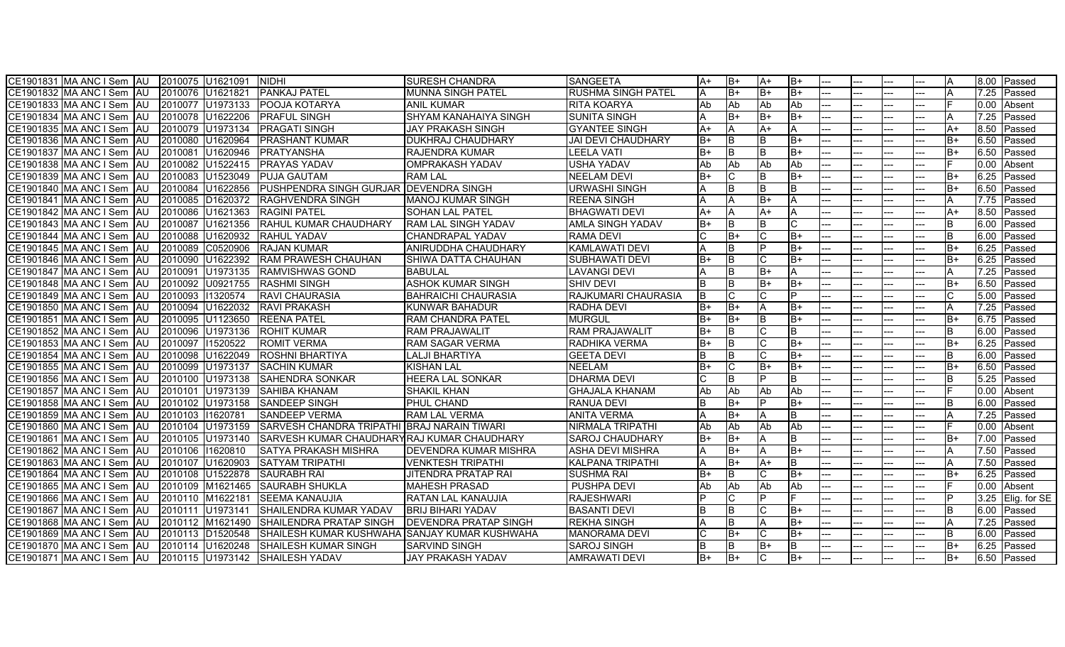| CE1901831 MA ANC I Sem AU<br>2010075 U1621091              |          | <b>NIDHI</b>                                  | <b>SURESH CHANDRA</b>        | <b>ISANGEETA</b>          | ΙA+      | B+       | ΙA+  | lB+       |  |     |              | 8.00 | Passed       |
|------------------------------------------------------------|----------|-----------------------------------------------|------------------------------|---------------------------|----------|----------|------|-----------|--|-----|--------------|------|--------------|
| 2010076 U1621821<br>CE1901832 MA ANC I Sem<br><b>IAU</b>   |          | <b>PANKAJ PATEL</b>                           | <b>MUNNA SINGH PATEL</b>     | <b>RUSHMA SINGH PATEL</b> | ΙA       | $B+$     | B+   | $B+$      |  |     |              | 7.25 | Passed       |
| CE1901833 MA ANC I Sem<br><b>AU</b><br>2010077 U1973133    |          | <b>POOJA KOTARYA</b>                          | <b>ANIL KUMAR</b>            | <b>RITA KOARYA</b>        | Ab       | Ab       | Ab   | Ab        |  |     |              | 0.00 | Absent       |
| CE1901834 MA ANC I Sem<br><b>AU</b><br>2010078 U1622206    |          | <b>PRAFUL SINGH</b>                           | <b>SHYAM KANAHAIYA SINGH</b> | <b>SUNITA SINGH</b>       |          | B+       | B+   | B+        |  |     |              | 7.25 | Passed       |
| 2010079 U1973134<br>CE1901835 IMA ANC I Sem<br><b>IAU</b>  |          | <b>IPRAGATI SINGH</b>                         | <b>JAY PRAKASH SINGH</b>     | <b>GYANTEE SINGH</b>      | $A+$     |          | $A+$ | A         |  |     | A+           | 8.50 | Passed       |
| CE1901836 MA ANC I Sem<br><b>IAU</b><br>2010080            | U1620964 | <b>PRASHANT KUMAR</b>                         | <b>IDUKHRAJ CHAUDHARY</b>    | <b>JAI DEVI CHAUDHARY</b> | lB+      | B        |      | B+        |  |     | B+           | 6.50 | Passed       |
| CE1901837 MA ANC I Sem<br><b>AU</b><br>2010081             | U1620946 | PRATYANSHA                                    | <b>RAJENDRA KUMAR</b>        | <b>LEELA VATI</b>         | B+       | <b>B</b> |      | lB+       |  |     | B+           | 6.50 | Passed       |
| CE1901838 MA ANC I Sem<br>2010082 U1522415<br>IAU          |          | <b>PRAYAS YADAV</b>                           | <b>OMPRAKASH YADAV</b>       | <b>USHA YADAV</b>         | Ab       | Ab       | Ab   | Ab        |  |     |              | 0.00 | Absent       |
| CE1901839 MA ANC I Sem<br>2010083<br><b>IAU</b>            | U1523049 | <b>PUJA GAUTAM</b>                            | <b>RAM LAL</b>               | <b>NEELAM DEVI</b>        | $B+$     |          |      | B+        |  | .   | B+           | 6.25 | Passed       |
| CE1901840 MA ANC I Sem<br><b>JAU</b><br>2010084            | U1622856 | PUSHPENDRA SINGH GURJAR DEVENDRA SINGH        |                              | <b>URWASHI SINGH</b>      |          | B        |      | lB.       |  |     | B+           | 6.50 | Passed       |
| CE1901841 MA ANC I Sem IAU<br>2010085 D1620372             |          | <b>RAGHVENDRA SINGH</b>                       | <b>MANOJ KUMAR SINGH</b>     | <b>REENA SINGH</b>        |          | ΙA       | B+   | A         |  |     |              | 7.75 | Passed       |
| CE1901842 MA ANC I Sem AU<br>2010086 U1621363              |          | <b>RAGINI PATEL</b>                           | <b>SOHAN LAL PATEL</b>       | <b>BHAGWATI DEVI</b>      | A+       | ΙA       | A+   | IA.       |  |     | A+           | 8.50 | Passed       |
| CE1901843 MA ANC I Sem<br>2010087 U1621356<br><b>JAU</b>   |          | <b>RAHUL KUMAR CHAUDHARY</b>                  | <b>RAM LAL SINGH YADAV</b>   | <b>AMLA SINGH YADAV</b>   | $B+$     | B        |      |           |  |     | <sub>B</sub> | 6.00 | Passed       |
| CE1901844 MA ANC I Sem AU<br>2010088 U1620932              |          | <b>RAHUL YADAV</b>                            | <b>CHANDRAPAL YADAV</b>      | <b>RAMA DEVI</b>          |          | B+       |      | IB+       |  |     | В            | 6.00 | Passed       |
| CE1901845 MA ANC I Sem<br><b>IAU</b><br>2010089            | C0520906 | <b>RAJAN KUMAR</b>                            | <b>ANIRUDDHA CHAUDHARY</b>   | KAMLAWATI DEVI            | ΙA       | B        |      | lB+       |  |     | B+           | 6.25 | Passed       |
| CE1901846 MA ANC I Sem<br>IAU<br>2010090                   | U1622392 | <b>RAM PRAWESH CHAUHAN</b>                    | ISHIWA DATTA CHAUHAN         | <b>SUBHAWATI DEVI</b>     | lB+      | B        |      | lB+       |  |     | B+           | 6.25 | Passed       |
| 2010091<br>CE1901847 IMA ANC I Sem<br>IAU                  | U1973135 | <b>RAMVISHWAS GOND</b>                        | <b>BABULAL</b>               | <b>LAVANGI DEVI</b>       |          | <b>B</b> | B+   | A         |  |     |              | 7.25 | Passed       |
| CE1901848 MA ANC I Sem<br><b>JAU</b><br>2010092            | U0921755 | <b>RASHMI SINGH</b>                           | <b>ASHOK KUMAR SINGH</b>     | <b>SHIV DEVI</b>          | <b>B</b> | B        | $B+$ | IB+       |  |     | B+           | 6.50 | Passed       |
| CE1901849 MA ANC I Sem<br><b>AU</b><br>2010093             | 11320574 | <b>RAVI CHAURASIA</b>                         | <b>BAHRAICHI CHAURASIA</b>   | RAJKUMARI CHAURASIA       | lв       |          |      | D         |  |     |              | 5.00 | Passed       |
| CE1901850 MA ANC I Sem<br>2010094<br>IAU                   | U1622032 | <b>RAVI PRAKASH</b>                           | <b>KUNWAR BAHADUR</b>        | <b>RADHA DEVI</b>         | IB+      | $B+$     |      | $B+$      |  |     |              | 7.25 | Passed       |
| CE1901851 MA ANC I Sem<br>l Al J<br>2010095                | U1123650 | <b>REENA PATEL</b>                            | <b>RAM CHANDRA PATEL</b>     | <b>MURGUL</b>             | B+       | $B+$     |      | lB+       |  | --- | B+           | 6.75 | Passed       |
| 2010096<br>CE1901852 IMA ANC I Sem<br>IAU                  | U1973136 | <b>ROHIT KUMAR</b>                            | <b>RAM PRAJAWALIT</b>        | <b>RAM PRAJAWALIT</b>     | lB+      | ΙB       |      | lB.       |  |     | R            | 6.00 | Passed       |
| 2010097<br>CE1901853 MA ANC I Sem<br>IAU                   | 11520522 | <b>ROMIT VERMA</b>                            | <b>RAM SAGAR VERMA</b>       | RADHIKA VERMA             | $B+$     | B        |      | lB+       |  |     | $B+$         | 6.25 | Passed       |
| CE1901854 MA ANC I Sem<br>2010098<br><b>AU</b>             | U1622049 | <b>ROSHNI BHARTIYA</b>                        | <b>LALJI BHARTIYA</b>        | <b>GEETA DEVI</b>         | <b>B</b> |          |      | B+        |  |     |              | 6.00 | Passed       |
| CE1901855 MA ANC I Sem<br>2010099<br><b>IAU</b>            | U1973137 | <b>SACHIN KUMAR</b>                           | <b>KISHAN LAL</b>            | <b>NEELAM</b>             | B+       |          | B+   | lB+       |  |     | B+           | 6.50 | Passed       |
| ICE1901856 IMA ANC I Sem<br><b>JAU</b><br>2010100 U1973138 |          | <b>ISAHENDRA SONKAR</b>                       | <b>HEERA LAL SONKAR</b>      | <b>DHARMA DEVI</b>        | C        | B        |      | B.        |  |     | R            | 5.25 | Passed       |
| ICE1901857 IMA ANC I Sem<br>IAU<br>2010101 U1973139        |          | <b>SAHIBA KHANAM</b>                          | <b>SHAKIL KHAN</b>           | <b>I</b> GHAJALA KHANAM   | Ab       | Ab       | Ab   | Ab        |  |     |              | 0.00 | Absent       |
| CE1901858 MA ANC I Sem<br><b>AU</b><br>2010102 U1973158    |          | <b>SANDEEP SINGH</b>                          | <b>PHUL CHAND</b>            | <b>RANUA DEVI</b>         | lB.      | $B+$     |      | B+        |  |     |              | 6.00 | Passed       |
| 2010103 11620781<br>CE1901859 MA ANC I Sem<br>AU           |          | <b>SANDEEP VERMA</b>                          | <b>RAM LAL VERMA</b>         | <b>ANITA VERMA</b>        |          | B+       |      | lB.       |  |     |              | 7.25 | Passed       |
| CE1901860 MA ANC I Sem<br>2010104 U1973159<br>IAU          |          | SARVESH CHANDRA TRIPATHI BRAJ NARAIN TIWARI   |                              | NIRMALA TRIPATHI          | Ab       | Ab       | Ab   | Ab        |  |     |              | 0.00 | Absent       |
| CE1901861 MA ANC I Sem<br>2010105<br><b>IAU</b>            | U1973140 | SARVESH KUMAR CHAUDHARY RAJ KUMAR CHAUDHARY   |                              | <b>SAROJ CHAUDHARY</b>    | $B+$     | $B+$     |      | IB.       |  |     | $B+$         | 7.00 | Passed       |
| ICE1901862 IMA ANC I Sem<br>AU<br>2010106                  | 11620810 | <b>SATYA PRAKASH MISHRA</b>                   | <b>DEVENDRA KUMAR MISHRA</b> | <b>ASHA DEVI MISHRA</b>   |          | $B+$     |      | $B+$      |  |     |              | 7.50 | Passed       |
| CE1901863 MA ANC I Sem<br><b>AU</b><br>2010107             | U1620903 | <b>SATYAM TRIPATHI</b>                        | <b>VENKTESH TRIPATHI</b>     | <b>KALPANA TRIPATHI</b>   | IΑ       | B+       | A+   | lB.       |  |     |              | 7.50 | Passed       |
| CE1901864 MA ANC I Sem<br>2010108<br>IAU                   | U1522878 | <b>SAURABH RAI</b>                            | JITENDRA PRATAP RAI          | <b>SUSHMA RAI</b>         | B+       | <b>B</b> |      | $B+$      |  |     | $B+$         | 6.25 | Passed       |
| <b>JAU</b><br>2010109<br>CE1901865 IMA ANC I Sem           | M1621465 | <b>SAURABH SHUKLA</b>                         | <b>MAHESH PRASAD</b>         | PUSHPA DEVI               | Ab       | Ab       | Ab   | <b>Ab</b> |  |     |              | 0.00 | Absent       |
| CE1901866 MA ANC I Sem AU<br>2010110 M1622181              |          | <b>SEEMA KANAUJIA</b>                         | <b>RATAN LAL KANAUJIA</b>    | <b>RAJESHWARI</b>         | D        | C        |      |           |  |     |              | 3.25 | Elig. for SE |
| 2010111 U1973141<br>ICE1901867 IMA ANC I Sem<br><b>JAU</b> |          | SHAILENDRA KUMAR YADAV                        | <b>BRIJ BIHARI YADAV</b>     | <b>BASANTI DEVI</b>       | IB.      | IB.      |      | B+        |  |     | B.           | 6.00 | Passed       |
| CE1901868 MA ANC I Sem<br><b>JAU</b><br>2010112 M1621490   |          | <b>SHAILENDRA PRATAP SINGH</b>                | <b>DEVENDRA PRATAP SINGH</b> | <b>REKHA SINGH</b>        |          | B        |      | $B+$      |  |     |              | 7.25 | Passed       |
| <b>JAU</b><br>CE1901869 MA ANC I Sem<br>2010113 D1520548   |          | SHAILESH KUMAR KUSHWAHA SANJAY KUMAR KUSHWAHA |                              | <b>IMANORAMA DEVI</b>     |          | B+       |      | IB+       |  |     |              | 6.00 | Passed       |
| CE1901870 MA ANC I Sem<br><b>AU</b><br>2010114 U1620248    |          | <b>SHAILESH KUMAR SINGH</b>                   | <b>SARVIND SINGH</b>         | <b>SAROJ SINGH</b>        | IB.      |          |      | IB.       |  |     | B+           | 6.25 | Passed       |
| CE1901871 MA ANC I Sem AU                                  |          | 2010115 U1973142 SHAILESH YADAV               | <b>JAY PRAKASH YADAV</b>     | <b>AMRAWATI DEVI</b>      | B+       | B+       |      | IB+       |  | --- | B+           |      | 6.50 Passed  |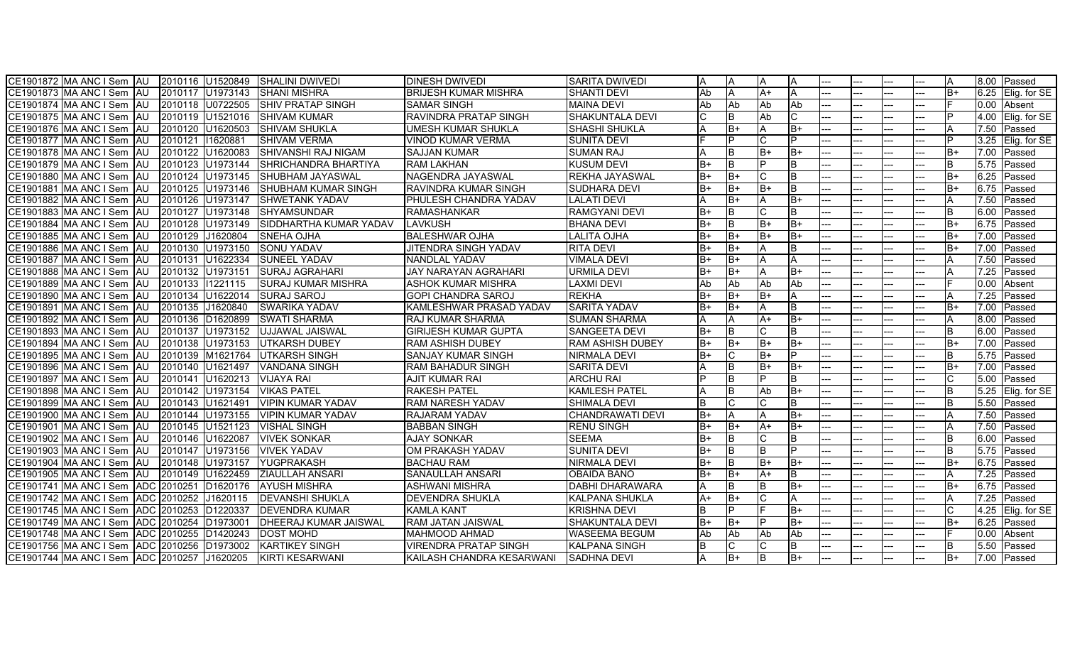| CE1901872 MA ANC I Sem   AU   2010116   U1520849 SHALINI DWIVEDI |                  |                  |                                | <b>DINESH DWIVEDI</b>        | <b>ISARITA DWIVEDI</b>  |      | IA.      |     |      |       |     |  | ΙA       |      | 8.00 Passed       |
|------------------------------------------------------------------|------------------|------------------|--------------------------------|------------------------------|-------------------------|------|----------|-----|------|-------|-----|--|----------|------|-------------------|
| CE1901873 MA ANC I Sem   AU   2010117   U1973143                 |                  |                  | <b>SHANI MISHRA</b>            | <b>BRIJESH KUMAR MISHRA</b>  | <b>SHANTI DEVI</b>      | Ab   | IA.      | A+  | A    | ---   |     |  | lB+      |      | 6.25 Elig. for SE |
| CE1901874 MA ANC I Sem<br><b>AU</b>                              |                  | 2010118 U0722505 | <b>SHIV PRATAP SINGH</b>       | <b>SAMAR SINGH</b>           | <b>MAINA DEVI</b>       | Ab   | Ab       | Ab  | Ab   |       |     |  |          |      | 0.00 Absent       |
| CE1901875 MA ANC I Sem<br><b>AU</b>                              |                  | 2010119 U1521016 | <b>ISHIVAM KUMAR</b>           | RAVINDRA PRATAP SINGH        | <b>SHAKUNTALA DEVI</b>  |      | lΒ       | Ab  |      |       |     |  | <b>D</b> | 4.00 | Elig. for SE      |
| CE1901876 MA ANC I Sem<br><b>AU</b>                              | 2010120 U1620503 |                  | <b>ISHIVAM SHUKLA</b>          | UMESH KUMAR SHUKLA           | <b>SHASHI SHUKLA</b>    |      | IB+      |     | $B+$ | ---   | --- |  |          | 7.50 | <b>IPassed</b>    |
| CE1901877 MA ANC I Sem<br><b>AU</b>                              | 2010121          | 11620881         | <b>ISHIVAM VERMA</b>           | <b>VINOD KUMAR VERMA</b>     | <b>SUNITA DEVI</b>      |      | <b>D</b> |     |      | ---   |     |  | P        | 3.25 | Elig. for SE      |
| CE1901878 MA ANC I Sem<br><b>AU</b>                              | 2010122 U1620083 |                  | <b>SHIVANSHI RAJ NIGAM</b>     | <b>SAJJAN KUMAR</b>          | <b>SUMAN RAJ</b>        |      | İΒ       | B+  | $B+$ |       |     |  | lB+      | 7.00 | Passed            |
| CE1901879 MA ANC I Sem<br><b>IAU</b>                             |                  | 2010123 U1973144 | SHRICHANDRA BHARTIYA           | <b>RAM LAKHAN</b>            | <b>KUSUM DEVI</b>       | $B+$ | IB.      |     | B.   |       |     |  | lB.      | 5.75 | Passed            |
| CE1901880 MA ANC I Sem<br>l AU                                   | 2010124          | U1973145         | <b>SHUBHAM JAYASWAL</b>        | NAGENDRA JAYASWAL            | REKHA JAYASWAL          | $B+$ | lB+      |     | B    | $---$ |     |  | lB+      | 6.25 | Passed            |
| CE1901881 MA ANC I Sem<br>IAU                                    | 2010125 U1973146 |                  | <b>ISHUBHAM KUMAR SINGH</b>    | RAVINDRA KUMAR SINGH         | <b>SUDHARA DEVI</b>     | B+   | B+       | B+  | B    |       |     |  | lB+      | 6.75 | Passed            |
| CE1901882 MA ANC I Sem<br>IAU.                                   | 2010126 U1973147 |                  | <b>ISHWETANK YADAV</b>         | PHULESH CHANDRA YADAV        | LALATI DEVI             |      | IB+      |     | $B+$ |       |     |  |          | 7.50 | Passed            |
| CE1901883 MA ANC I Sem AU                                        | 2010127 U1973148 |                  | <b>SHYAMSUNDAR</b>             | <b>RAMASHANKAR</b>           | <b>RAMGYANI DEVI</b>    | $B+$ | ΙB       |     | в    | ---   |     |  | ΙB       | 6.00 | Passed            |
| CE1901884 MA ANC I Sem AU                                        |                  | 2010128 U1973149 | SIDDHARTHA KUMAR YADAV         | <b>LAVKUSH</b>               | <b>BHANA DEVI</b>       | $B+$ | lB.      | B+  | B+   |       |     |  | lB+      | 6.75 | Passed            |
| CE1901885 MA ANC I Sem AU                                        | 2010129 J1620804 |                  | <b>SNEHA OJHA</b>              | <b>BALESHWAR OJHA</b>        | <b>LALITA OJHA</b>      | B+   | IB+      | IB+ | $B+$ |       |     |  | lB+      | 7.00 | Passed            |
| CE1901886 MA ANC I Sem<br>IAU                                    | 2010130 U1973150 |                  | <b>SONU YADAV</b>              | <b>JITENDRA SINGH YADAV</b>  | <b>RITA DEVI</b>        | B+   | lB+      |     | B    | ---   |     |  | lB+      | 7.00 | Passed            |
| CE1901887 IMA ANC I Sem<br><b>AU</b>                             | 2010131 U1622334 |                  | <b>ISUNEEL YADAV</b>           | NANDLAL YADAV                | <b>VIMALA DEVI</b>      | B+   | IB+      |     |      |       |     |  |          | 7.50 | Passed            |
| CE1901888 IMA ANC I Sem<br>IAU.                                  | 2010132 U1973151 |                  | <b>SURAJ AGRAHARI</b>          | JAY NARAYAN AGRAHARI         | URMILA DEVI             | B+   | IB+      |     | B+   |       |     |  |          | 7.25 | Passed            |
| CE1901889 MA ANC I Sem<br><b>AU</b>                              | 2010133          | 11221115         | <b>SURAJ KUMAR MISHRA</b>      | <b>ASHOK KUMAR MISHRA</b>    | <b>LAXMI DEVI</b>       | Ab   | Ab       | Ab  | Ab   | ---   |     |  |          | 0.00 | Absent            |
| CE1901890 MA ANC I Sem<br><b>IAU</b>                             | 2010134          | U1622014         | <b>SURAJ SAROJ</b>             | <b>GOPI CHANDRA SAROJ</b>    | <b>REKHA</b>            | $B+$ | $B+$     | lB+ | А    |       |     |  |          | 7.25 | Passed            |
| CE1901891 MA ANC I Sem<br>IAU.                                   | 2010135          | J1620840         | <b>SWARIKA YADAV</b>           | KAMLESHWAR PRASAD YADAV      | <b>SARITA YADAV</b>     | $B+$ | IB+      |     |      |       |     |  | lB+      | 7.00 | Passed            |
| CE1901892 MA ANC I Sem<br>IAU                                    | 2010136 D1620899 |                  | <b>SWATI SHARMA</b>            | <b>RAJ KUMAR SHARMA</b>      | <b>SUMAN SHARMA</b>     |      | A        | A+  | B+   |       |     |  |          | 8.00 | Passed            |
| CE1901893 IMA ANC I Sem<br><b>JAU</b>                            | 2010137 U1973152 |                  | <b>UJJAWAL JAISWAL</b>         | <b>GIRIJESH KUMAR GUPTA</b>  | <b>SANGEETA DEVI</b>    | B+   | IB.      |     | B    |       |     |  | IB.      | 6.00 | Passed            |
| AU<br>CE1901894 MA ANC I Sem                                     | 2010138 U1973153 |                  | UTKARSH DUBEY                  | RAM ASHISH DUBEY             | <b>RAM ASHISH DUBEY</b> | B+   | lB+      | IB+ | B+   |       |     |  | lB+      | 7.00 | Passed            |
| CE1901895 MA ANC I Sem<br>AU                                     |                  |                  | 2010139 M1621764 UTKARSH SINGH | SANJAY KUMAR SINGH           | NIRMALA DEVI            | B+   | IС       | IB+ | D    | ---   |     |  | ΙB       | 5.75 | Passed            |
| CE1901896 MA ANC I Sem<br>IAU                                    | 2010140 U1621497 |                  | <b>VANDANA SINGH</b>           | <b>RAM BAHADUR SINGH</b>     | <b>SARITA DEVI</b>      |      | IB.      | B+  | $B+$ |       |     |  | lB+      | 7.00 | Passed            |
| ICE1901897 IMA ANC I Sem<br>IAU                                  | 2010141 U1620213 |                  | <b>VIJAYA RAI</b>              | <b>AJIT KUMAR RAI</b>        | <b>ARCHU RAI</b>        |      | <b>B</b> |     | B.   | ---   |     |  |          | 5.00 | Passed            |
| CE1901898 IMA ANC I Sem<br><b>IAU</b>                            | 2010142 U1973154 |                  | <b>VIKAS PATEL</b>             | <b>RAKESH PATEL</b>          | <b>KAMLESH PATEL</b>    |      | lΒ       | Ab  | B+   |       |     |  | ΙB.      | 5.25 | Elig. for SE      |
| CE1901899 MA ANC I Sem<br>IAU                                    | 2010143 U1621491 |                  | <b>VIPIN KUMAR YADAV</b>       | <b>RAM NARESH YADAV</b>      | SHIMALA DEVI            | lB.  | IС       |     | B    |       |     |  | lB.      | 5.50 | Passed            |
| CE1901900 MA ANC I Sem<br><b>AU</b>                              | 2010144 U1973155 |                  | <b>VIPIN KUMAR YADAV</b>       | RAJARAM YADAV                | <b>CHANDRAWATI DEVI</b> | $B+$ |          |     | B+   |       |     |  |          | 7.50 | Passed            |
| CE1901901 MA ANC I Sem<br><b>AU</b>                              | 2010145 U1521123 |                  | <b>VISHAL SINGH</b>            | <b>BABBAN SINGH</b>          | <b>RENU SINGH</b>       | B+   | B+       | A+  | B+   | ---   |     |  |          | 7.50 | Passed            |
| CE1901902 MA ANC I Sem<br>IAU                                    | 2010146 U1622087 |                  | <b>VIVEK SONKAR</b>            | <b>AJAY SONKAR</b>           | <b>SEEMA</b>            | $B+$ | IB.      |     | B.   |       |     |  | IB.      | 6.00 | Passed            |
| CE1901903 IMA ANC I Sem<br><b>AU</b>                             | 2010147 U1973156 |                  | <b>VIVEK YADAV</b>             | OM PRAKASH YADAV             | <b>SUNITA DEVI</b>      | $B+$ | İΒ       |     |      |       |     |  | B.       | 5.75 | Passed            |
| CE1901904 MA ANC I Sem<br><b>AU</b>                              | 2010148 U1973157 |                  | YUGPRAKASH                     | <b>BACHAU RAM</b>            | NIRMALA DEVI            | B+   | lΒ       | B+  | B+   |       |     |  | lB+      | 6.75 | Passed            |
| CE1901905 MA ANC I Sem<br><b>AU</b>                              | 2010149 U1622459 |                  | <b>ZIAULLAH ANSARI</b>         | SANAULLAH ANSARI             | <b>OBAIDA BANO</b>      | B+   | $ B+$    | A+  | B    |       |     |  |          | 7.25 | Passed            |
| CE1901741 MA ANC I Sem ADC 2010251 D1620176                      |                  |                  | <b>AYUSH MISHRA</b>            | <b>ASHWANI MISHRA</b>        | DABHI DHARAWARA         |      | lB.      |     | $B+$ | ---   |     |  | lB+      | 6.75 | Passed            |
| CE1901742 MA ANC I Sem ADC 2010252 JJ1620115                     |                  |                  | <b>IDEVANSHI SHUKLA</b>        | <b>DEVENDRA SHUKLA</b>       | <b>KALPANA SHUKLA</b>   | A+   | IB+      |     | A    |       |     |  |          | 7.25 | Passed            |
| CE1901745 MA ANC I Sem ADC 2010253 D1220337                      |                  |                  | <b>DEVENDRA KUMAR</b>          | <b>KAMLA KANT</b>            | <b>KRISHNA DEVI</b>     | R    | P        |     | B+   | ---   |     |  | IC       | 4.25 | Elig. for SE      |
| CE1901749 MA ANC I Sem ADC 2010254 D1973001                      |                  |                  | <b>DHEERAJ KUMAR JAISWAL</b>   | <b>RAM JATAN JAISWAL</b>     | SHAKUNTALA DEVI         | $B+$ | $B+$     |     | B+   | ---   |     |  | B+       | 6.25 | Passed            |
| CE1901748 MA ANC I Sem ADC 2010255 D1420243                      |                  |                  | <b>DOST MOHD</b>               | <b>MAHMOOD AHMAD</b>         | <b>WASEEMA BEGUM</b>    | Ab   | Ab       | Ab  | Ab   |       |     |  |          | 0.00 | Absent            |
| CE1901756 MA ANC I Sem ADC 2010256 D1973002                      |                  |                  | <b>IKARTIKEY SINGH</b>         | <b>VIRENDRA PRATAP SINGH</b> | <b>KALPANA SINGH</b>    | B    | lC.      |     | B.   |       |     |  | IΒ       | 5.50 | Passed            |
| CE1901744 MA ANC I Sem ADC 2010257 JJ1620205                     |                  |                  | <b>IKIRTI KESARWANI</b>        | KAILASH CHANDRA KESARWANI    | <b>ISADHNA DEVI</b>     |      | IB+      |     | B+   | $---$ | --- |  | IB+      |      | 7.00 Passed       |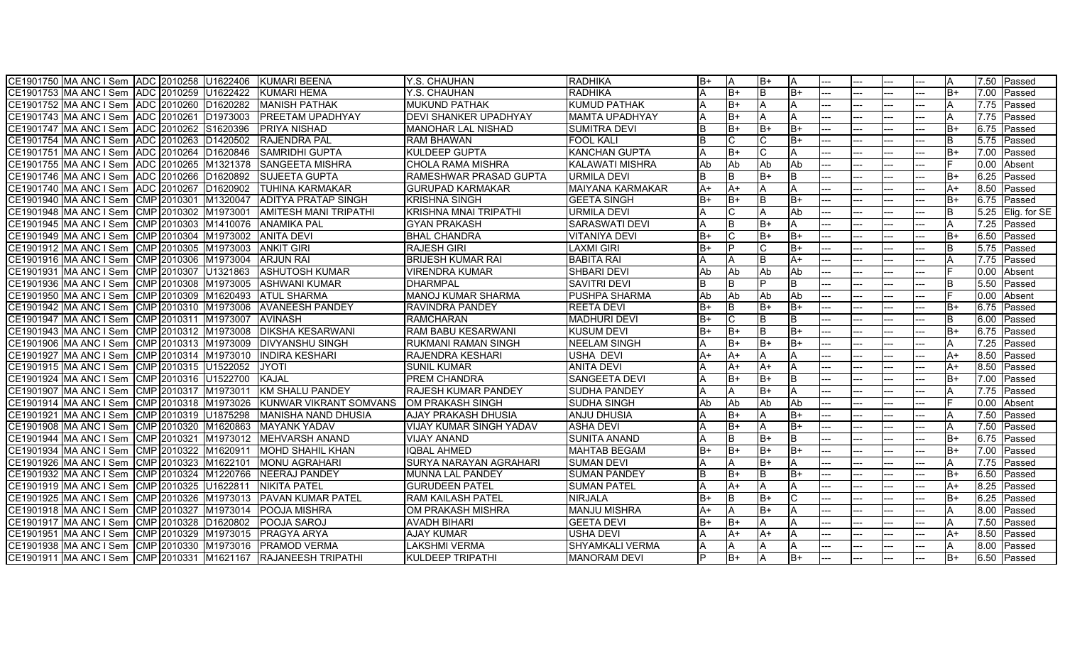| CE1901750 MA ANC I Sem ADC 2010258 U1622406 KUMARI BEENA       |                              | Y.S. CHAUHAN                   | <b>RADHIKA</b>          | B+   |              | IB+        | ΙA              |                              |     |      |      |      | 7.50 Passed              |
|----------------------------------------------------------------|------------------------------|--------------------------------|-------------------------|------|--------------|------------|-----------------|------------------------------|-----|------|------|------|--------------------------|
| CE1901753 MA ANC I Sem ADC 2010259 U1622422                    | <b>KUMARI HEMA</b>           | Y.S. CHAUHAN                   | <b>RADHIKA</b>          |      | lB+          |            | $\overline{B+}$ | $\qquad \qquad \textbf{---}$ | --- |      | IB+  |      | 7.00 Passed              |
| CE1901752 MA ANC I Sem ADC 2010260 D1620282                    | <b>MANISH PATHAK</b>         | <b>MUKUND PATHAK</b>           | <b>KUMUD PATHAK</b>     |      | $B+$         |            | A               |                              |     |      |      |      | $\overline{7.75}$ Passed |
| CE1901743 MA ANC I Sem ADC 2010261 D1973003                    | <b>PREETAM UPADHYAY</b>      | <b>DEVI SHANKER UPADHYAY</b>   | <b>MAMTA UPADHYAY</b>   |      | B+           |            |                 |                              |     |      |      |      | 7.75 Passed              |
| CE1901747 MA ANC I Sem ADC 2010262 S1620396                    | <b>IPRIYA NISHAD</b>         | <b>IMANOHAR LAL NISHAD</b>     | <b>SUMITRA DEVI</b>     | ΙB.  | lB+          | lB+        | lB+             | $---$                        | --- | $--$ | lB+  | 6.75 | Passed                   |
| ADC 2010263 D1420502<br>CE1901754 IMA ANC I Sem                | <b>IRAJENDRA PAL</b>         | <b>RAM BHAWAN</b>              | <b>FOOL KALI</b>        | B    |              |            | B+              | ---                          | --- |      | B    |      | $\overline{5.75}$ Passed |
| CE1901751 MA ANC I Sem ADC 2010264 D1620846                    | <b>SAMRIDHI GUPTA</b>        | <b>KULDEEP GUPTA</b>           | <b>KANCHAN GUPTA</b>    |      | $B+$         |            |                 |                              |     |      | $B+$ | 7.00 | Passed                   |
| CE1901755 MA ANC I Sem ADC 2010265 M1321378 SANGEETA MISHRA    |                              | <b>CHOLA RAMA MISHRA</b>       | <b>KALAWATI MISHRA</b>  | Ab   | Ab           | <b>Ab</b>  | Ab              | ---                          | --- |      |      | 0.00 | Absent                   |
| CE1901746 MA ANC I Sem ADC 2010266 D1620892                    | <b>SUJEETA GUPTA</b>         | RAMESHWAR PRASAD GUPTA         | URMILA DEVI             | B    | <sub>B</sub> | $B+$       | ΙB              | ---                          | --- |      | $B+$ | 6.25 | Passed                   |
| CE1901740 MA ANC I Sem ADC 2010267 D1620902                    | <b>ITUHINA KARMAKAR</b>      | <b>IGURUPAD KARMAKAR</b>       | <b>MAIYANA KARMAKAR</b> | $A+$ | $A+$         |            |                 |                              |     |      | A+   | 8.50 | <b>Passed</b>            |
| CE1901940 MA ANC I Sem CMP 2010301 M1320047                    | <b>JADITYA PRATAP SINGH</b>  | <b>KRISHNA SINGH</b>           | GEETA SINGH             | lB+  | lB+          |            | lB+             | ---                          | --- |      | IB+  |      | 6.75 Passed              |
| CE1901948 MA ANC I Sem CMP 2010302 M1973001                    | <b>AMITESH MANI TRIPATHI</b> | <b>KRISHNA MNAI TRIPATHI</b>   | URMILA DEVI             |      |              |            | Ab              | ---                          | --- |      |      |      | 5.25 Elig. for SE        |
| CE1901945 MA ANC I Sem CMP 2010303 M1410076 ANAMIKA PAL        |                              | <b>GYAN PRAKASH</b>            | <b>SARASWATI DEVI</b>   |      | B            | lB+        |                 |                              |     |      |      |      | 7.25 Passed              |
| CE1901949 MA ANC I Sem CMP 2010304 M1973002 ANITA DEVI         |                              | <b>BHAL CHANDRA</b>            | <b>VITANIYA DEVI</b>    | B+   | IС           | IB+        | IB+             | ---                          |     |      | $B+$ |      | 6.50 Passed              |
| CE1901912 MA ANC I Sem CMP 2010305 M1973003                    | <b>ANKIT GIRI</b>            | <b>RAJESH GIRI</b>             | <b>LAXMI GIRI</b>       | B+   | D            |            | B+              | ---                          |     |      | B.   |      | $\overline{5.75}$ Passed |
| CE1901916 MA ANC I Sem CMP 2010306 M1973004                    | <b>ARJUN RAI</b>             | <b>BRIJESH KUMAR RAI</b>       | <b>BABITA RAI</b>       |      |              |            | $A+$            |                              |     |      |      | 7.75 | <b>I</b> Passed          |
| CE1901931 MA ANC I Sem CMP 2010307 U1321863                    | <b>ASHUTOSH KUMAR</b>        | <b>VIRENDRA KUMAR</b>          | SHBARI DEVI             | Ab   | lAb          | <b>IAb</b> | Ab              | ---                          | --- |      |      | 0.00 | Absent                   |
| CE1901936 MA ANC I Sem CMP 2010308 M1973005                    | <b>ASHWANI KUMAR</b>         | <b>DHARMPAL</b>                | <b>SAVITRI DEVI</b>     |      |              |            | B               | ---                          |     |      |      |      | 5.50 Passed              |
| CE1901950 MA ANC I Sem CMP 2010309 M1620493                    | <b>ATUL SHARMA</b>           | <b>MANOJ KUMAR SHARMA</b>      | PUSHPA SHARMA           | Ab   | Ab           | <b>Ab</b>  | Ab              |                              |     |      |      | 0.00 | Absent                   |
| CE1901942 MA ANC I Sem CMP 2010310 M1973006                    | <b>AVANEESH PANDEY</b>       | <b>RAVINDRA PANDEY</b>         | <b>REETA DEVI</b>       | B+   |              | lB+        | B+              | ---                          |     |      | $B+$ |      | $6.75$ Passed            |
| CE1901947 MA ANC I Sem CMP 2010311 M1973007                    | <b>AVINASH</b>               | <b>RAMCHARAN</b>               | <b>MADHURI DEVI</b>     | $B+$ |              |            | B               | ---                          | --- |      | B.   |      | 6.00 Passed              |
| CE1901943 MA ANC I Sem CMP 2010312 M1973008                    | <b>DIKSHA KESARWANI</b>      | <b>RAM BABU KESARWANI</b>      | <b>KUSUM DEVI</b>       | B+   | lB+          |            | B+              |                              |     |      | $B+$ |      | 6.75 Passed              |
| CE1901906 MA ANC I Sem CMP 2010313 M1973009                    | <b>DIVYANSHU SINGH</b>       | <b>RUKMANI RAMAN SINGH</b>     | <b>NEELAM SINGH</b>     |      | $B+$         | lB+        | B+              | $\qquad \qquad \textbf{---}$ | --- |      |      | 7.25 | Passed                   |
| CE1901927 MA ANC I Sem CMP 2010314 M1973010                    | <b>INDIRA KESHARI</b>        | <b>RAJENDRA KESHARI</b>        | <b>USHA DEVI</b>        | A+   | A+           |            | A               |                              |     |      | A+   | 8.50 | Passed                   |
| CE1901915 MA ANC I Sem CMP 2010315 U1522052                    | <b>JYOTI</b>                 | <b>SUNIL KUMAR</b>             | <b>ANITA DEVI</b>       |      | A+           | lA+        | IA.             | ---                          | --- |      | $A+$ |      | 8.50 Passed              |
| CE1901924 MA ANC I Sem CMP 2010316 U1522700                    | KAJAL                        | <b>IPREM CHANDRA</b>           | <b>SANGEETA DEVI</b>    |      | B+           | B+         | B               | ---                          |     |      | $B+$ | 7.00 | <b>I</b> Passed          |
| CE1901907 MA ANC I Sem CMP 2010317 M1973011                    | KM SHALU PANDEY              | <b>IRAJESH KUMAR PANDEY</b>    | <b>SUDHA PANDEY</b>     |      |              | lB+        | A               | ---                          |     |      |      | 7.75 | Passed                   |
| CE1901914 MA ANC I Sem CMP 2010318 M1973026                    | KUNWAR VIKRANT SOMVANS       | OM PRAKASH SINGH               | <b>SUDHA SINGH</b>      | Ab   | <b>Ab</b>    | <b>Ab</b>  | Ab              |                              |     |      |      |      | $\overline{0.00}$ Absent |
| CE1901921 MA ANC I Sem CMP 2010319 U1875298                    | <b>MANISHA NAND DHUSIA</b>   | <b>AJAY PRAKASH DHUSIA</b>     | <b>ANJU DHUSIA</b>      |      | B+           |            | B+              | ---                          |     |      |      | 7.50 | Passed                   |
| CE1901908 MA ANC I Sem CMP 2010320 M1620863                    | <b>MAYANK YADAV</b>          | <b>VIJAY KUMAR SINGH YADAV</b> | <b>ASHA DEVI</b>        |      | $B+$         |            | B+              | $\qquad \qquad \textbf{---}$ | --- |      |      |      | 7.50 Passed              |
| CE1901944 MA ANC I Sem CMP 2010321 M1973012                    | MEHVARSH ANAND               | <b>VIJAY ANAND</b>             | <b>SUNITA ANAND</b>     |      | R.           | lB+        | ΙB              |                              |     |      | $B+$ |      | 6.75 Passed              |
| CMP 2010322 M1620911<br>CE1901934 MA ANC I Sem                 | <b>IMOHD SHAHIL KHAN</b>     | <b>IQBAL AHMED</b>             | <b>MAHTAB BEGAM</b>     | $B+$ | $B+$         | lB+        | B+              | ---                          |     |      | $B+$ | 7.00 | Passed                   |
| CE1901926 MA ANC I Sem CMP 2010323 M1622101                    | <b>MONU AGRAHARI</b>         | <b>SURYA NARAYAN AGRAHARI</b>  | <b>SUMAN DEVI</b>       |      |              | B+         |                 |                              |     |      |      | 7.75 | Passed                   |
| CE1901932 MA ANC I Sem CMP 2010324 M1220766                    | NEERAJ PANDEY                | MUNNA LAL PANDEY               | <b>SUMAN PANDEY</b>     | ΙB.  | lB+          |            | $B+$            | $---$                        | --- |      | B+   | 6.50 | Passed                   |
| CE1901919 MA ANC I Sem CMP 2010325 U1622811                    | <b>NIKITA PATEL</b>          | <b>GURUDEEN PATEL</b>          | <b>SUMAN PATEL</b>      |      | $A+$         |            |                 | ---                          |     |      | $A+$ | 8.25 | Passed                   |
| CE1901925 MA ANC I Sem CMP 2010326 M1973013 PAVAN KUMAR PATEL  |                              | <b>RAM KAILASH PATEL</b>       | <b>NIRJALA</b>          | B+   | lB.          | IB+        | IC.             |                              |     |      | B+   |      | 6.25 Passed              |
| CE1901918 MA ANC I Sem CMP 2010327 M1973014                    | <b>IPOOJA MISHRA</b>         | <b>OM PRAKASH MISHRA</b>       | <b>MANJU MISHRA</b>     | A+   |              | IB+        | A               | ---                          | --- |      |      |      | $\overline{8.00}$ Passed |
| CE1901917 MA ANC I Sem CMP 2010328 D1620802                    | <b>POOJA SAROJ</b>           | <b>AVADH BIHARI</b>            | <b>GEETA DEVI</b>       | $B+$ | $B+$         |            |                 | ---                          |     |      |      | 7.50 | Passed                   |
| CE1901951 MA ANC I Sem CMP 2010329 M1973015 PRAGYA ARYA        |                              | <b>AJAY KUMAR</b>              | USHA DEVI               |      | A+           | ΙA+        |                 |                              |     |      | A+   | 8.50 | Passed                   |
| CE1901938 MA ANC I Sem CMP 2010330 M1973016 PRAMOD VERMA       |                              | LAKSHMI VERMA                  | <b>SHYAMKALI VERMA</b>  | А    |              |            | IA.             | $---$                        | --- |      |      | 8.00 | Passed                   |
| CE1901911 MA ANC I Sem CMP 2010331 M1621167 RAJANEESH TRIPATHI |                              | <b>KULDEEP TRIPATHI</b>        | <b>MANORAM DEVI</b>     | D    | IB+          |            | IB+             | $---$                        | --- | ---  | IB+  |      | 6.50 Passed              |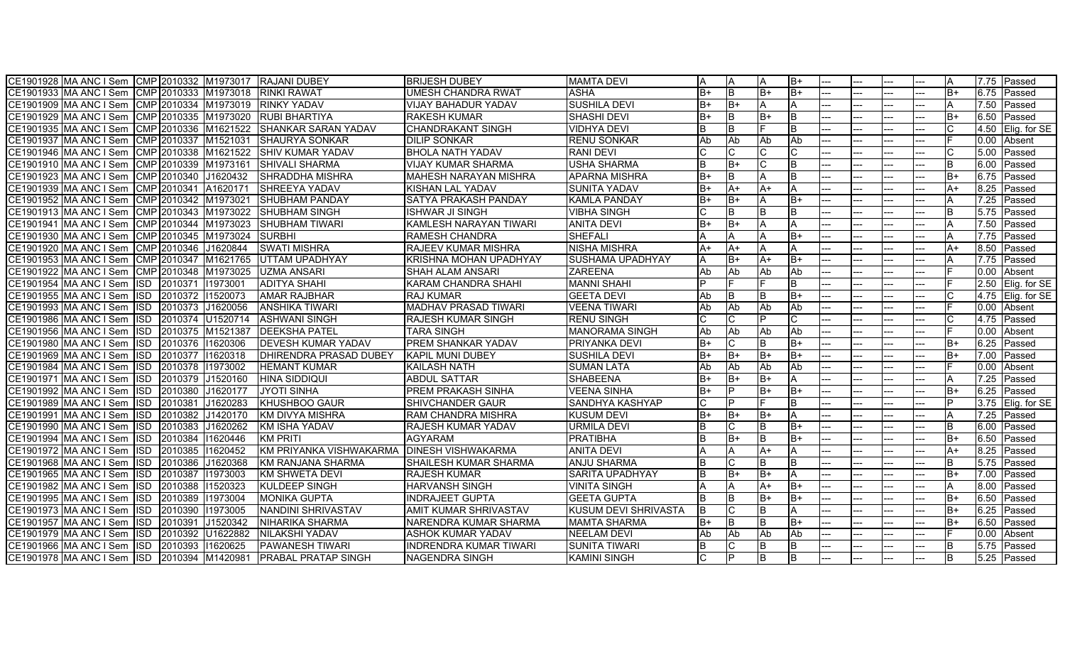| CE1901928 MA ANC I Sem CMP 2010332 M1973017 RAJANI DUBEY |                  |             |                      |                                                                 | <b>IBRIJESH DUBEY</b>         | <b>MAMTA DEVI</b>           | A        | ΙA           |           | IB+             |       |     |     |      | 7.75 | Passed       |
|----------------------------------------------------------|------------------|-------------|----------------------|-----------------------------------------------------------------|-------------------------------|-----------------------------|----------|--------------|-----------|-----------------|-------|-----|-----|------|------|--------------|
| CE1901933 MA ANC I Sem CMP 2010333 M1973018 RINKI RAWAT  |                  |             |                      |                                                                 | <b>UMESH CHANDRA RWAT</b>     | <b>ASHA</b>                 | $B+$     | l B          | B+        | $\overline{B+}$ | $---$ |     |     | $B+$ | 6.75 | Passed       |
| CE1901909 MA ANC I Sem CMP 2010334 M1973019 RINKY YADAV  |                  |             |                      |                                                                 | <b>VIJAY BAHADUR YADAV</b>    | <b>SUSHILA DEVI</b>         | B+       | lB+          |           | A               |       |     |     |      | 7.50 | Passed       |
| CE1901929 MA ANC I Sem                                   |                  |             |                      | CMP 2010335 M1973020 RUBI BHARTIYA                              | <b>RAKESH KUMAR</b>           | <b>SHASHI DEVI</b>          | B+       | B            | B+        | lΒ              |       |     |     | В+   | 6.50 | Passed       |
|                                                          |                  |             |                      | CE1901935 MA ANC I Sem CMP 2010336 M1621522 SHANKAR SARAN YADAV | <b>CHANDRAKANT SINGH</b>      | <b>VIDHYA DEVI</b>          | lB.      | lB.          |           | lB.             |       |     |     |      | 4.50 | Elig. for SE |
| CE1901937 MA ANC I Sem                                   |                  |             | CMP 2010337 M1521031 | <b>SHAURYA SONKAR</b>                                           | <b>DILIP SONKAR</b>           | <b>RENU SONKAR</b>          | Ab       | <b>Ab</b>    | Ab        | Ab              |       |     |     |      | 0.00 | Absent       |
| CE1901946 MA ANC I Sem                                   |                  |             |                      | CMP 2010338 M1621522 SHIV KUMAR YADAV                           | <b>BHOLA NATH YADAV</b>       | <b>RANI DEVI</b>            |          |              |           |                 |       |     |     |      | 5.00 | Passed       |
| CE1901910 MA ANC I Sem                                   |                  |             | CMP 2010339 M1973161 | <b>SHIVALI SHARMA</b>                                           | <b>VIJAY KUMAR SHARMA</b>     | <b>USHA SHARMA</b>          | <b>B</b> | $B+$         |           | lB.             |       |     |     | B.   | 6.00 | Passed       |
| CE1901923 MA ANC I Sem                                   |                  | CMP 2010340 | J1620432             | <b>SHRADDHA MISHRA</b>                                          | MAHESH NARAYAN MISHRA         | <b>APARNA MISHRA</b>        | B+       | <sub>B</sub> |           | lΒ              |       |     |     | B+   | 6.75 | Passed       |
| CE1901939 IMA ANC I Sem                                  |                  |             | CMP 2010341 A1620171 | <b>ISHREEYA YADAV</b>                                           | <b>KISHAN LAL YADAV</b>       | ISUNITA YADAV               | lB+      | $A+$         | A+        | ΙA              |       |     |     | A+   | 8.25 | Passed       |
| CE1901952 MA ANC I Sem CMP 2010342 M1973021              |                  |             |                      | <b>ISHUBHAM PANDAY</b>                                          | SATYA PRAKASH PANDAY          | <b>KAMLA PANDAY</b>         | $B+$     | lB+          |           | lB+             |       |     |     |      | 7.25 | Passed       |
|                                                          |                  |             |                      | CE1901913 MA ANC I Sem CMP 2010343 M1973022 SHUBHAM SINGH       | IISHWAR JI SINGH              | <b>VIBHA SINGH</b>          |          | B            |           | ΙB              |       |     |     | B    | 5.75 | Passed       |
| CE1901941 MA ANC I Sem CMP 2010344 M1973023              |                  |             |                      | <b>SHUBHAM TIWARI</b>                                           | KAMLESH NARAYAN TIWARI        | <b>ANITA DEVI</b>           | B+       | $B+$         |           | IΑ              |       |     |     |      | 7.50 | Passed       |
| CE1901930 MA ANC I Sem CMP 2010345 M1973024              |                  |             |                      | <b>ISURBHI</b>                                                  | <b>RAMESH CHANDRA</b>         | SHEFALI                     |          |              |           | IB+             |       |     |     |      | 7.75 | Passed       |
| CE1901920 MA ANC I Sem CMP 2010346 J1620844              |                  |             |                      | <b>SWATI MISHRA</b>                                             | <b>RAJEEV KUMAR MISHRA</b>    | <b>NISHA MISHRA</b>         | A+       | $A+$         |           | A               |       |     |     | A+   | 8.50 | Passed       |
| CE1901953 MA ANC I Sem                                   |                  |             | CMP 2010347 M1621765 | UTTAM UPADHYAY                                                  | <b>KRISHNA MOHAN UPADHYAY</b> | <b>SUSHAMA UPADHYAY</b>     |          | $B+$         | A+        | IB+             |       |     |     |      | 7.75 | Passed       |
| CE1901922 MA ANC I Sem                                   |                  |             | CMP 2010348 M1973025 | <b>UZMA ANSARI</b>                                              | <b>SHAH ALAM ANSARI</b>       | <b>ZAREENA</b>              | Ab       | Ab           | Ab        | Ab              |       |     |     |      | 0.00 | Absent       |
| CE1901954 MA ANC I Sem                                   |                  | ISD 2010371 | 11973001             | <b>ADITYA SHAHI</b>                                             | <b>KARAM CHANDRA SHAHI</b>    | <b>MANNI SHAHI</b>          |          |              |           | lB.             |       |     |     |      | 2.50 | Elig. for SE |
| CE1901955 MA ANC I Sem                                   |                  | ISD 2010372 | 11520073             | <b>AMAR RAJBHAR</b>                                             | <b>RAJ KUMAR</b>              | <b>GEETA DEVI</b>           | Ab       | B            |           | lB+             |       |     |     |      | 4.75 | Elig. for SE |
| CE1901993 MA ANC I Sem                                   | $\overline{ISD}$ | 2010373     | J1620056             | <b>ANSHIKA TIWARI</b>                                           | <b>MADHAV PRASAD TIWARI</b>   | <b>VEENA TIWARI</b>         | Ab       | Ab           | Ab        | Ab              |       |     |     |      | 0.00 | Absent       |
| CE1901986 MA ANC I Sem                                   |                  | ISD 2010374 | U1520714             | <b>ASHWANI SINGH</b>                                            | <b>RAJESH KUMAR SINGH</b>     | <b>RENU SINGH</b>           |          |              |           |                 |       |     |     |      | 4.75 | Passed       |
| CE1901956 MA ANC I Sem                                   | <b>ISD</b>       | 2010375     | M1521387             | <b>DEEKSHA PATEL</b>                                            | <b>TARA SINGH</b>             | <b>MANORAMA SINGH</b>       | Ab       | Ab           | Ab        | Ab              |       |     |     |      | 0.00 | Absent       |
| CE1901980 MA ANC I Sem                                   | <b>ISD</b>       | 2010376     | 11620306             | <b>DEVESH KUMAR YADAV</b>                                       | <b>PREM SHANKAR YADAV</b>     | <b>PRIYANKA DEVI</b>        | B+       |              |           | IB+             |       |     |     | B+   | 6.25 | Passed       |
| CE1901969 MA ANC I Sem                                   |                  | ISD 2010377 | 11620318             | <b>DHIRENDRA PRASAD DUBEY</b>                                   | KAPIL MUNI DUBEY              | <b>SUSHILA DEVI</b>         | B+       | $B+$         | B+        | lB+             |       |     |     | B+   | 7.00 | Passed       |
| CE1901984 MA ANC I Sem                                   |                  | ISD 2010378 | 11973002             | <b>HEMANT KUMAR</b>                                             | <b>KAILASH NATH</b>           | <b>SUMAN LATA</b>           | Ab       | Ab           | <b>Ab</b> | <b>Ab</b>       |       |     |     |      | 0.00 | Absent       |
| CE1901971 MA ANC I Sem                                   | $\overline{ISD}$ | 2010379     | J1520160             | <b>HINA SIDDIQUI</b>                                            | <b>ABDUL SATTAR</b>           | <b>SHABEENA</b>             | $B+$     | $B+$         | B+        | ΙA              |       |     |     |      | 7.25 | Passed       |
| CE1901992 MA ANC I Sem                                   | <b>ISD</b>       | 2010380     | J1620177             | JYOTI SINHA                                                     | <b>PREM PRAKASH SINHA</b>     | <b>VEENA SINHA</b>          | B+       | D            | B+        | IB+             |       |     |     | B+   | 6.25 | Passed       |
| CE1901989 MA ANC I Sem                                   | $\overline{SD}$  | 2010381     | J1620283             | <b>KHUSHBOO GAUR</b>                                            | SHIVCHANDER GAUR              | SANDHYA KASHYAP             |          | D            |           | ΙB              |       |     |     |      | 3.75 | Elig. for SE |
| CE1901991 MA ANC I Sem                                   | <b>ISD</b>       | 2010382     | J1420170             | <b>KM DIVYA MISHRA</b>                                          | <b>RAM CHANDRA MISHRA</b>     | <b>KUSUM DEVI</b>           | $B+$     | lB+          | B+        | A               |       |     |     |      | 7.25 | Passed       |
| CE1901990 MA ANC I Sem                                   |                  | ISD 2010383 | J1620262             | KM ISHA YADAV                                                   | <b>RAJESH KUMAR YADAV</b>     | <b>URMILA DEVI</b>          | R        | С            |           | lB+             |       |     |     |      | 6.00 | Passed       |
| CE1901994 MA ANC I Sem                                   | <b>ISD</b>       | 2010384     | 11620446             | <b>KM PRITI</b>                                                 | <b>AGYARAM</b>                | <b>PRATIBHA</b>             | lB.      | $B+$         | IB.       | lB+             |       |     |     | B+   | 6.50 | Passed       |
| CE1901972 MA ANC I Sem                                   | <b>ISD</b>       | 2010385     | 1620452              | KM PRIYANKA VISHWAKARMA                                         | <b>DINESH VISHWAKARMA</b>     | <b>ANITA DEVI</b>           |          |              | $A+$      | l A             |       |     |     | A+   | 8.25 | Passed       |
| CE1901968 MA ANC I Sem                                   | <b>ISD</b>       | 2010386     | J1620368             | KM RANJANA SHARMA                                               | SHAILESH KUMAR SHARMA         | <b>ANJU SHARMA</b>          |          |              |           | lΒ              |       |     |     |      | 5.75 | Passed       |
| CE1901965 MA ANC I Sem                                   | <b>ISD</b>       | 2010387     | 11973003             | KM SHWETA DEVI                                                  | <b>RAJESH KUMAR</b>           | <b>SARITA UPADHYAY</b>      | lB.      | $B+$         | $B+$      | ΙA              |       |     |     | B+   | 7.00 | Passed       |
| CE1901982 MA ANC I Sem                                   | <b>ISD</b>       | 2010388     | 11520323             | <b>KULDEEP SINGH</b>                                            | <b>HARVANSH SINGH</b>         | <b>VINITA SINGH</b>         |          |              | A+        | lB+             |       |     |     |      | 8.00 | Passed       |
| CE1901995 MA ANC I Sem                                   |                  | ISD 2010389 | 11973004             | <b>MONIKA GUPTA</b>                                             | <b>INDRAJEET GUPTA</b>        | <b>GEETA GUPTA</b>          | lB.      | ΙB           | B+        | lB+             |       |     |     | B+   | 6.50 | Passed       |
| CE1901973 MA ANC I Sem                                   |                  | ISD 2010390 | 11973005             | NANDINI SHRIVASTAV                                              | <b>AMIT KUMAR SHRIVASTAV</b>  | <b>KUSUM DEVI SHRIVASTA</b> | lв       |              |           | ΙA              |       |     |     | B+   | 6.25 | Passed       |
| CE1901957 MA ANC I Sem                                   | <b>ISD</b>       | 2010391     | J1520342             | NIHARIKA SHARMA                                                 | NARENDRA KUMAR SHARMA         | <b>MAMTA SHARMA</b>         | B+       | B            |           | IB+             |       |     |     | B+   | 6.50 | Passed       |
| CE1901979 MA ANC I Sem                                   | <b>ISD</b>       | 2010392     | U1622882             | NILAKSHI YADAV                                                  | <b>ASHOK KUMAR YADAV</b>      | <b>NEELAM DEVI</b>          | Ab       | Ab           | Ab        | Ab              |       |     |     |      | 0.00 | Absent       |
| CE1901966 MA ANC I Sem                                   | <b>ISD</b>       | 2010393     | 11620625             | <b>IPAWANESH TIWARI</b>                                         | IINDRENDRA KUMAR TIWARI       | <b>SUNITA TIWARI</b>        | IB.      |              |           | ΙB              |       |     |     | R    | 5.75 | Passed       |
| CE1901978 MA ANC I Sem ISD                               |                  |             | 2010394 M1420981     | <b>IPRABAL PRATAP SINGH</b>                                     | <b>INAGENDRA SINGH</b>        | <b>KAMINI SINGH</b>         |          |              |           |                 |       | --- | --- | B    | 5.25 | Passed       |